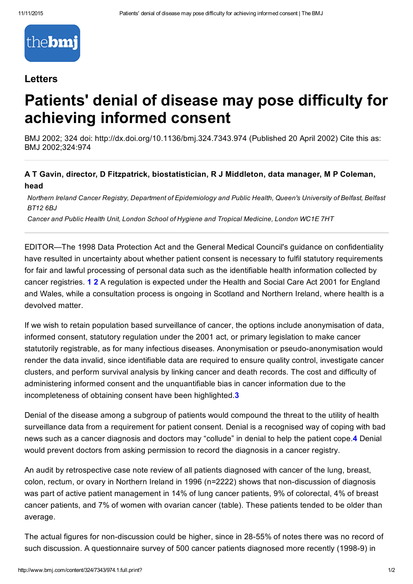

### Letters

# Patients' denial of disease may pose difficulty for achieving informed consent

BMJ 2002; 324 doi: http://dx.doi.org/10.1136/bmj.324.7343.974 (Published 20 April 2002) Cite this as: BMJ 2002;324:974

#### A T Gavin, director, D Fitzpatrick, biostatistician, R J Middleton, data manager, M P Coleman, head

*Northern Ireland Cancer Registry, Department of Epidemiology and Public Health, Queen's University of Belfast, Belfast BT12 6BJ*

*Cancer and Public Health Unit, London School of Hygiene and Tropical Medicine, London WC1E 7HT*

EDITOR—The 1998 Data Protection Act and the General Medical Council's guidance on confidentiality have resulted in uncertainty about whether patient consent is necessary to fulfil statutory requirements for fair and lawful processing of personal data such as the identifiable health information collected by cancer registries. 1 2 A regulation is expected under the Health and Social Care Act 2001 for England and Wales, while a consultation process is ongoing in Scotland and Northern Ireland, where health is a devolved matter.

If we wish to retain population based surveillance of cancer, the options include anonymisation of data, informed consent, statutory regulation under the 2001 act, or primary legislation to make cancer statutorily registrable, as for many infectious diseases. Anonymisation or pseudo-anonymisation would render the data invalid, since identifiable data are required to ensure quality control, investigate cancer clusters, and perform survival analysis by linking cancer and death records. The cost and difficulty of administering informed consent and the unquantifiable bias in cancer information due to the incompleteness of obtaining consent have been highlighted.<sup>3</sup>

Denial of the disease among a subgroup of patients would compound the threat to the utility of health surveillance data from a requirement for patient consent. Denial is a recognised way of coping with bad news such as a cancer diagnosis and doctors may "collude" in denial to help the patient cope.4 Denial would prevent doctors from asking permission to record the diagnosis in a cancer registry.

An audit by retrospective case note review of all patients diagnosed with cancer of the lung, breast, colon, rectum, or ovary in Northern Ireland in 1996 (n=2222) shows that non-discussion of diagnosis was part of active patient management in 14% of lung cancer patients, 9% of colorectal, 4% of breast cancer patients, and 7% of women with ovarian cancer (table). These patients tended to be older than average.

The actual figures for non-discussion could be higher, since in 28-55% of notes there was no record of such discussion. A questionnaire survey of 500 cancer patients diagnosed more recently (1998-9) in